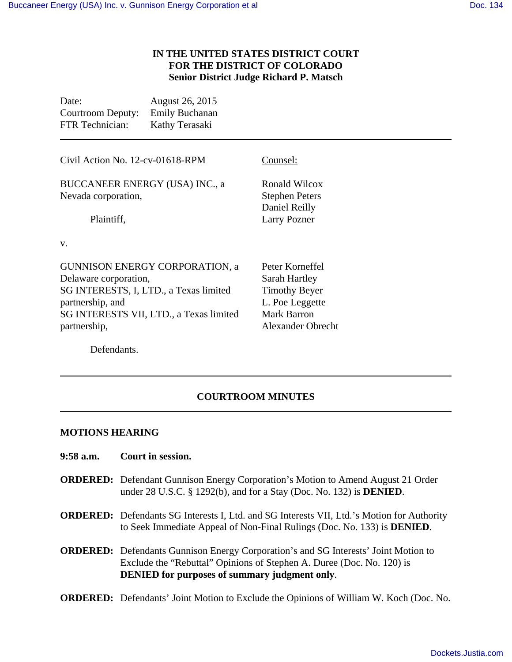## **IN THE UNITED STATES DISTRICT COURT FOR THE DISTRICT OF COLORADO Senior District Judge Richard P. Matsch**

| Date:             | August 26, 2015       |
|-------------------|-----------------------|
| Courtroom Deputy: | <b>Emily Buchanan</b> |
| FTR Technician:   | Kathy Terasaki        |

| Civil Action No. 12-cv-01618-RPM                             | Counsel:                                                |
|--------------------------------------------------------------|---------------------------------------------------------|
| <b>BUCCANEER ENERGY (USA) INC., a</b><br>Nevada corporation, | Ronald Wilcox<br><b>Stephen Peters</b><br>Daniel Reilly |
| Plaintiff,                                                   | <b>Larry Pozner</b>                                     |
| V.                                                           |                                                         |
| <b>GUNNISON ENERGY CORPORATION, a</b>                        | Peter Korneffel                                         |
| Delaware corporation,                                        | Sarah Hartley                                           |
| SG INTERESTS, I, LTD., a Texas limited                       | <b>Timothy Beyer</b>                                    |
| partnership, and                                             | L. Poe Leggette                                         |
| SG INTERESTS VII, LTD., a Texas limited                      | Mark Barron                                             |
| partnership,                                                 | <b>Alexander Obrecht</b>                                |

Defendants.

## **COURTROOM MINUTES**

## **MOTIONS HEARING**

- **9:58 a.m. Court in session.**
- **ORDERED:** Defendant Gunnison Energy Corporation's Motion to Amend August 21 Order under 28 U.S.C. § 1292(b), and for a Stay (Doc. No. 132) is **DENIED**.
- **ORDERED:** Defendants SG Interests I, Ltd. and SG Interests VII, Ltd.'s Motion for Authority to Seek Immediate Appeal of Non-Final Rulings (Doc. No. 133) is **DENIED**.
- **ORDERED:** Defendants Gunnison Energy Corporation's and SG Interests' Joint Motion to Exclude the "Rebuttal" Opinions of Stephen A. Duree (Doc. No. 120) is **DENIED for purposes of summary judgment only**.
- **ORDERED:** Defendants' Joint Motion to Exclude the Opinions of William W. Koch (Doc. No.